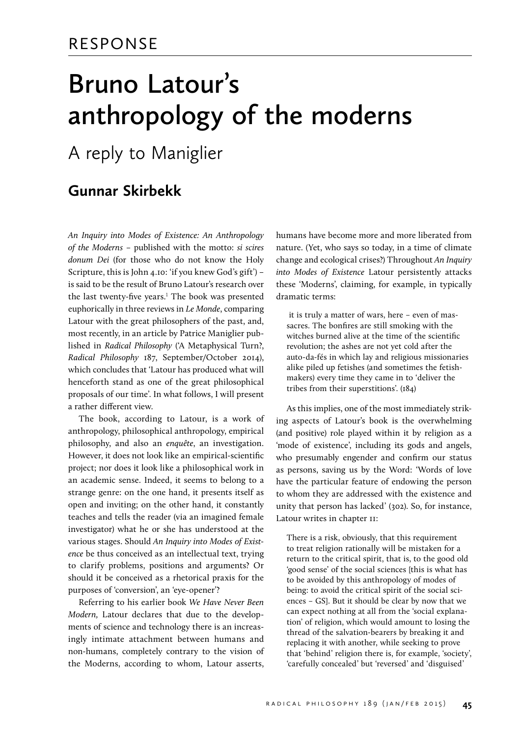## **Bruno Latour's anthropology of the moderns**

### A reply to Maniglier

#### **Gunnar Skirbekk**

*An Inquiry into Modes of Existence: An Anthropology of the Moderns* – published with the motto: *si scires donum Dei* (for those who do not know the Holy Scripture, this is John 4.10: 'if you knew God's gift') – is said to be the result of Bruno Latour's research over the last twenty-five years.<sup>1</sup> The book was presented euphorically in three reviews in *Le Monde*, comparing Latour with the great philosophers of the past, and, most recently, in an article by Patrice Maniglier published in *Radical Philosophy* ('A Metaphysical Turn?, *Radical Philosophy* 187, September/October 2014), which concludes that 'Latour has produced what will henceforth stand as one of the great philosophical proposals of our time'. In what follows, I will present a rather different view.

The book, according to Latour, is a work of anthropology, philosophical anthropology, empirical philosophy, and also an *enquête*, an investigation. However, it does not look like an empirical-scientific project; nor does it look like a philosophical work in an academic sense. Indeed, it seems to belong to a strange genre: on the one hand, it presents itself as open and inviting; on the other hand, it constantly teaches and tells the reader (via an imagined female investigator) what he or she has understood at the various stages. Should *An Inquiry into Modes of Existence* be thus conceived as an intellectual text, trying to clarify problems, positions and arguments? Or should it be conceived as a rhetorical praxis for the purposes of 'conversion', an 'eye-opener'?

Referring to his earlier book *We Have Never Been Modern,* Latour declares that due to the developments of science and technology there is an increasingly intimate attachment between humans and non-humans, completely contrary to the vision of the Moderns, according to whom, Latour asserts,

humans have become more and more liberated from nature. (Yet, who says so today, in a time of climate change and ecological crises?) Throughout *An Inquiry into Modes of Existence* Latour persistently attacks these 'Moderns', claiming, for example, in typically dramatic terms:

it is truly a matter of wars, here – even of massacres. The bonfires are still smoking with the witches burned alive at the time of the scientific revolution; the ashes are not yet cold after the auto-da-fés in which lay and religious missionaries alike piled up fetishes (and sometimes the fetishmakers) every time they came in to 'deliver the tribes from their superstitions'. (184)

As this implies, one of the most immediately striking aspects of Latour's book is the overwhelming (and positive) role played within it by religion as a 'mode of existence', including its gods and angels, who presumably engender and confirm our status as persons, saving us by the Word: 'Words of love have the particular feature of endowing the person to whom they are addressed with the existence and unity that person has lacked' (302). So, for instance, Latour writes in chapter II:

There is a risk, obviously, that this requirement to treat religion rationally will be mistaken for a return to the critical spirit, that is, to the good old 'good sense' of the social sciences [this is what has to be avoided by this anthropology of modes of being: to avoid the critical spirit of the social sciences – GS]. But it should be clear by now that we can expect nothing at all from the 'social explanation' of religion, which would amount to losing the thread of the salvation-bearers by breaking it and replacing it with another, while seeking to prove that 'behind' religion there is, for example, 'society', 'carefully concealed' but 'reversed' and 'disguised'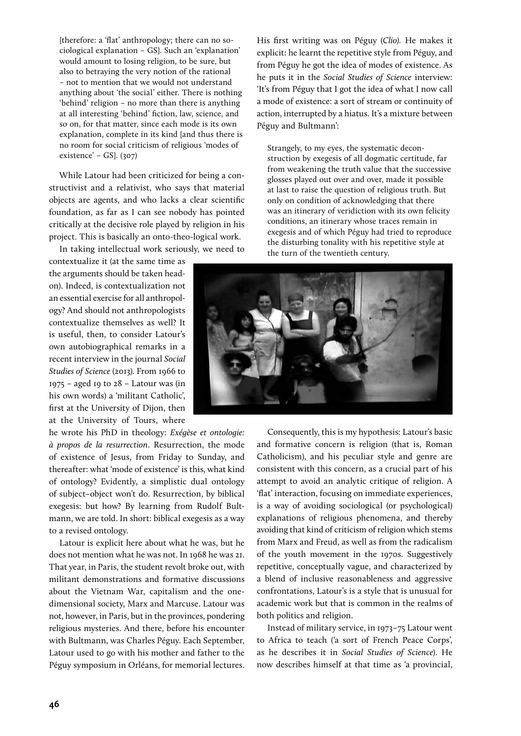[therefore: a 'flat' anthropology; there can no sociological explanation – GS]. Such an 'explanation' would amount to losing religion, to be sure, but also to betraying the very notion of the rational – not to mention that we would not understand anything about 'the social' either. There is nothing 'behind' religion – no more than there is anything at all interesting 'behind' fiction, law, science, and so on, for that matter, since each mode is its own explanation, complete in its kind [and thus there is no room for social criticism of religious 'modes of existence' – GS]. (307)

While Latour had been criticized for being a constructivist and a relativist, who says that material objects are agents, and who lacks a clear scientific foundation, as far as I can see nobody has pointed critically at the decisive role played by religion in his project. This is basically an onto-theo-logical work.

In taking intellectual work seriously, we need to

contextualize it (at the same time as the arguments should be taken headon). Indeed, is contextualization not an essential exercise for all anthropology? And should not anthropologists contextualize themselves as well? It is useful, then, to consider Latour's own autobiographical remarks in a recent interview in the journal *Social Studies of Science* (2013). From 1966 to  $1975$  – aged 19 to 28 – Latour was (in his own words) a 'militant Catholic', first at the University of Dijon, then at the University of Tours, where

he wrote his PhD in theology: *Exégèse et ontologie: à propos de la resurrection*. Resurrection, the mode of existence of Jesus, from Friday to Sunday, and thereafter: what 'mode of existence' is this, what kind of ontology? Evidently, a simplistic dual ontology of subject–object won't do. Resurrection, by biblical exegesis: but how? By learning from Rudolf Bultmann, we are told. In short: biblical exegesis as a way to a revised ontology.

Latour is explicit here about what he was, but he does not mention what he was not. In 1968 he was 21. That year, in Paris, the student revolt broke out, with militant demonstrations and formative discussions about the Vietnam War, capitalism and the onedimensional society, Marx and Marcuse. Latour was not, however, in Paris, but in the provinces, pondering religious mysteries. And there, before his encounter with Bultmann, was Charles Péguy. Each September, Latour used to go with his mother and father to the Péguy symposium in Orléans, for memorial lectures.

His first writing was on Péguy (*Clio).* He makes it explicit: he learnt the repetitive style from Péguy, and from Péguy he got the idea of modes of existence. As he puts it in the *Social Studies of Science* interview: 'It's from Péguy that I got the idea of what I now call a mode of existence: a sort of stream or continuity of action, interrupted by a hiatus. It's a mixture between Péguy and Bultmann':

Strangely, to my eyes, the systematic deconstruction by exegesis of all dogmatic certitude, far from weakening the truth value that the successive glosses played out over and over, made it possible at last to raise the question of religious truth. But only on condition of acknowledging that there was an itinerary of veridiction with its own felicity conditions, an itinerary whose traces remain in exegesis and of which Péguy had tried to reproduce the disturbing tonality with his repetitive style at the turn of the twentieth century.



Consequently, this is my hypothesis: Latour's basic and formative concern is religion (that is, Roman Catholicism), and his peculiar style and genre are consistent with this concern, as a crucial part of his attempt to avoid an analytic critique of religion. A 'flat' interaction, focusing on immediate experiences, is a way of avoiding sociological (or psychological) explanations of religious phenomena, and thereby avoiding that kind of criticism of religion which stems from Marx and Freud, as well as from the radicalism of the youth movement in the 1970s. Suggestively repetitive, conceptually vague, and characterized by a blend of inclusive reasonableness and aggressive confrontations, Latour's is a style that is unusual for academic work but that is common in the realms of both politics and religion.

Instead of military service, in 1973–75 Latour went to Africa to teach ('a sort of French Peace Corps', as he describes it in *Social Studies of Science*). He now describes himself at that time as 'a provincial,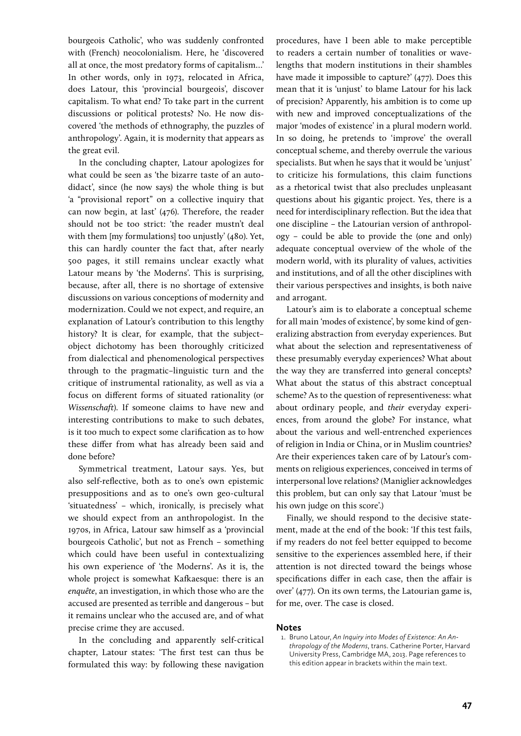bourgeois Catholic', who was suddenly confronted with (French) neocolonialism. Here, he 'discovered all at once, the most predatory forms of capitalism…' In other words, only in 1973, relocated in Africa, does Latour, this 'provincial bourgeois', discover capitalism. To what end? To take part in the current discussions or political protests? No. He now discovered 'the methods of ethnography, the puzzles of anthropology'. Again, it is modernity that appears as the great evil.

In the concluding chapter, Latour apologizes for what could be seen as 'the bizarre taste of an autodidact', since (he now says) the whole thing is but 'a "provisional report" on a collective inquiry that can now begin, at last' (476). Therefore, the reader should not be too strict: 'the reader mustn't deal with them [my formulations] too unjustly' (480). Yet, this can hardly counter the fact that, after nearly 500 pages, it still remains unclear exactly what Latour means by 'the Moderns'. This is surprising, because, after all, there is no shortage of extensive discussions on various conceptions of modernity and modernization. Could we not expect, and require, an explanation of Latour's contribution to this lengthy history? It is clear, for example, that the subject– object dichotomy has been thoroughly criticized from dialectical and phenomenological perspectives through to the pragmatic–linguistic turn and the critique of instrumental rationality, as well as via a focus on different forms of situated rationality (or *Wissenschaft*). If someone claims to have new and interesting contributions to make to such debates, is it too much to expect some clarification as to how these differ from what has already been said and done before?

Symmetrical treatment, Latour says. Yes, but also self-reflective, both as to one's own epistemic presuppositions and as to one's own geo-cultural 'situatedness' – which, ironically, is precisely what we should expect from an anthropologist. In the 1970s, in Africa, Latour saw himself as a 'provincial bourgeois Catholic', but not as French – something which could have been useful in contextualizing his own experience of 'the Moderns'. As it is, the whole project is somewhat Kafkaesque: there is an *enquête*, an investigation, in which those who are the accused are presented as terrible and dangerous – but it remains unclear who the accused are, and of what precise crime they are accused.

In the concluding and apparently self-critical chapter, Latour states: 'The first test can thus be formulated this way: by following these navigation

procedures, have I been able to make perceptible to readers a certain number of tonalities or wavelengths that modern institutions in their shambles have made it impossible to capture?' (477). Does this mean that it is 'unjust' to blame Latour for his lack of precision? Apparently, his ambition is to come up with new and improved conceptualizations of the major 'modes of existence' in a plural modern world. In so doing, he pretends to 'improve' the overall conceptual scheme, and thereby overrule the various specialists. But when he says that it would be 'unjust' to criticize his formulations, this claim functions as a rhetorical twist that also precludes unpleasant questions about his gigantic project. Yes, there is a need for interdisciplinary reflection. But the idea that one discipline – the Latourian version of anthropology – could be able to provide the (one and only) adequate conceptual overview of the whole of the modern world, with its plurality of values, activities and institutions, and of all the other disciplines with their various perspectives and insights, is both naive and arrogant.

Latour's aim is to elaborate a conceptual scheme for all main 'modes of existence', by some kind of generalizing abstraction from everyday experiences. But what about the selection and representativeness of these presumably everyday experiences? What about the way they are transferred into general concepts? What about the status of this abstract conceptual scheme? As to the question of representiveness: what about ordinary people, and *their* everyday experiences, from around the globe? For instance, what about the various and well-entrenched experiences of religion in India or China, or in Muslim countries? Are their experiences taken care of by Latour's comments on religious experiences, conceived in terms of interpersonal love relations? (Maniglier acknowledges this problem, but can only say that Latour 'must be his own judge on this score'.)

Finally, we should respond to the decisive statement, made at the end of the book: 'If this test fails, if my readers do not feel better equipped to become sensitive to the experiences assembled here, if their attention is not directed toward the beings whose specifications differ in each case, then the affair is over' (477). On its own terms, the Latourian game is, for me, over. The case is closed.

#### **Notes**

1. Bruno Latour, *An Inquiry into Modes of Existence: An Anthropology of the Moderns*, trans. Catherine Porter, Harvard University Press, Cambridge MA, 2013. Page references to this edition appear in brackets within the main text.